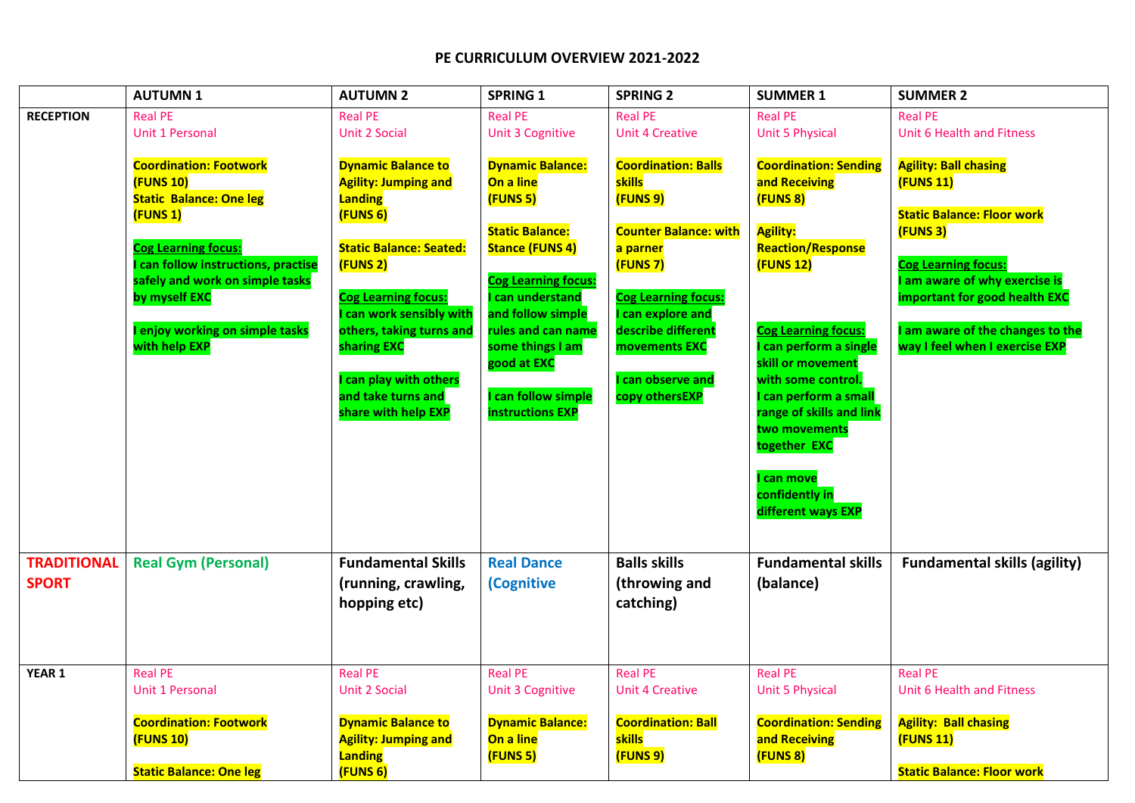|                                    | <b>AUTUMN1</b>                                                                                                                                                                                                                                                                    | <b>AUTUMN 2</b>                                                                                                                                                                                                                                                                                       | <b>SPRING 1</b>                                                                                                                                                                                                                                                                    | <b>SPRING 2</b>                                                                                                                                                                                                                       | <b>SUMMER 1</b>                                                                                                                                                                                                                                                                                                                                                       | <b>SUMMER 2</b>                                                                                                                                                                                                                                                     |
|------------------------------------|-----------------------------------------------------------------------------------------------------------------------------------------------------------------------------------------------------------------------------------------------------------------------------------|-------------------------------------------------------------------------------------------------------------------------------------------------------------------------------------------------------------------------------------------------------------------------------------------------------|------------------------------------------------------------------------------------------------------------------------------------------------------------------------------------------------------------------------------------------------------------------------------------|---------------------------------------------------------------------------------------------------------------------------------------------------------------------------------------------------------------------------------------|-----------------------------------------------------------------------------------------------------------------------------------------------------------------------------------------------------------------------------------------------------------------------------------------------------------------------------------------------------------------------|---------------------------------------------------------------------------------------------------------------------------------------------------------------------------------------------------------------------------------------------------------------------|
| <b>RECEPTION</b>                   | <b>Real PE</b><br>Unit 1 Personal                                                                                                                                                                                                                                                 | <b>Real PE</b><br><b>Unit 2 Social</b>                                                                                                                                                                                                                                                                | <b>Real PE</b><br><b>Unit 3 Cognitive</b>                                                                                                                                                                                                                                          | <b>Real PE</b><br><b>Unit 4 Creative</b>                                                                                                                                                                                              | <b>Real PE</b><br><b>Unit 5 Physical</b>                                                                                                                                                                                                                                                                                                                              | <b>Real PE</b><br><b>Unit 6 Health and Fitness</b>                                                                                                                                                                                                                  |
|                                    | <b>Coordination: Footwork</b><br><b>(FUNS 10)</b><br><b>Static Balance: One leg</b><br>(FUNS 1)<br><b>Cog Learning focus:</b><br><b>can follow instructions, practise</b><br>safely and work on simple tasks<br>by myself EXC<br>I enjoy working on simple tasks<br>with help EXP | <b>Dynamic Balance to</b><br><b>Agility: Jumping and</b><br>Landing<br>(FUNS 6)<br><b>Static Balance: Seated:</b><br>(FUNS 2)<br><b>Cog Learning focus:</b><br>can work sensibly with<br>others, taking turns and<br>sharing EXC<br>can play with others<br>and take turns and<br>share with help EXP | <b>Dynamic Balance:</b><br>On a line<br>(FUNS 5)<br><b>Static Balance:</b><br><b>Stance (FUNS 4)</b><br><b>Cog Learning focus:</b><br>can understand<br>and follow simple<br>rules and can name<br>some things I am<br>good at EXC<br>can follow simple<br><b>instructions EXP</b> | <b>Coordination: Balls</b><br>skills<br>(FUNS 9)<br><b>Counter Balance: with</b><br>a parner<br>(FUNS 7)<br><b>Cog Learning focus:</b><br>can explore and<br>describe different<br>movements EXC<br>can observe and<br>copy othersEXP | <b>Coordination: Sending</b><br>and Receiving<br>(FUNS 8)<br><b>Agility:</b><br><b>Reaction/Response</b><br><b>(FUNS 12)</b><br><b>Cog Learning focus:</b><br>can perform a single<br>skill or movement<br>with some control.<br>can perform a small<br>range of skills and link<br>two movements<br>together EXC<br>can move<br>confidently in<br>different ways EXP | <b>Agility: Ball chasing</b><br>(FUNS 11)<br><b>Static Balance: Floor work</b><br>(FUNS 3)<br><b>Cog Learning focus:</b><br>am aware of why exercise is<br><b>important for good health EXC</b><br>am aware of the changes to the<br>way I feel when I exercise EXP |
| <b>TRADITIONAL</b><br><b>SPORT</b> | <b>Real Gym (Personal)</b>                                                                                                                                                                                                                                                        | <b>Fundamental Skills</b><br>(running, crawling,<br>hopping etc)                                                                                                                                                                                                                                      | <b>Real Dance</b><br><b>(Cognitive</b>                                                                                                                                                                                                                                             | <b>Balls skills</b><br>(throwing and<br>catching)                                                                                                                                                                                     | <b>Fundamental skills</b><br>(balance)                                                                                                                                                                                                                                                                                                                                | <b>Fundamental skills (agility)</b>                                                                                                                                                                                                                                 |
| YEAR 1                             | <b>Real PE</b><br><b>Unit 1 Personal</b><br><b>Coordination: Footwork</b><br><b>(FUNS 10)</b><br><b>Static Balance: One leg</b>                                                                                                                                                   | <b>Real PE</b><br><b>Unit 2 Social</b><br><b>Dynamic Balance to</b><br><b>Agility: Jumping and</b><br>Landing<br>(FUNS 6)                                                                                                                                                                             | <b>Real PE</b><br><b>Unit 3 Cognitive</b><br><b>Dynamic Balance:</b><br>On a line<br>(FUNS 5)                                                                                                                                                                                      | <b>Real PE</b><br><b>Unit 4 Creative</b><br><b>Coordination: Ball</b><br>skills<br>(FUNS 9)                                                                                                                                           | <b>Real PE</b><br><b>Unit 5 Physical</b><br><b>Coordination: Sending</b><br>and Receiving<br>(FUNS 8)                                                                                                                                                                                                                                                                 | <b>Real PE</b><br>Unit 6 Health and Fitness<br><b>Agility: Ball chasing</b><br><b>(FUNS 11)</b><br><b>Static Balance: Floor work</b>                                                                                                                                |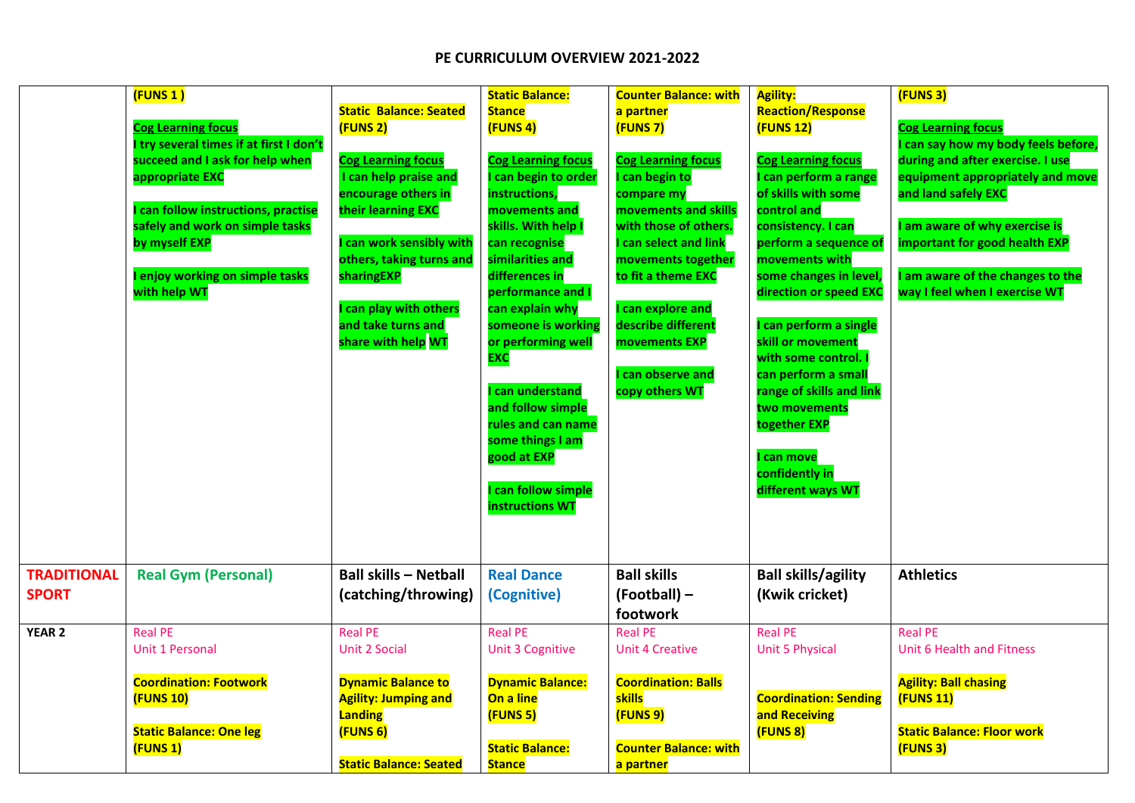|                                    | $($ FUNS 1 $)$<br><b>Cog Learning focus</b><br>I try several times if at first I don't<br>succeed and I ask for help when<br>appropriate EXC<br>I can follow instructions, practise<br>safely and work on simple tasks<br>by myself EXP<br>I enjoy working on simple tasks<br>with help WT | <b>Static Balance: Seated</b><br>(FUNS 2)<br><b>Cog Learning focus</b><br>I can help praise and<br>encourage others in<br>their learning EXC<br>can work sensibly with<br>others, taking turns and<br>sharingEXP<br>I can play with others<br>and take turns and<br>share with help WT | <b>Static Balance:</b><br><b>Stance</b><br>(FUNS 4)<br><b>Cog Learning focus</b><br>can begin to order<br>instructions,<br>movements and<br>skills. With help I<br>can recognise<br>similarities and<br>differences in<br>performance and I<br>can explain why<br>someone is working<br>or performing well<br><b>EXC</b><br>can understand<br>and follow simple<br>rules and can name<br>some things I am<br>good at EXP<br>can follow simple<br>instructions WT | <b>Counter Balance: with</b><br>a partner<br>(FUNS 7)<br><b>Cog Learning focus</b><br>can begin to<br>compare my<br>movements and skills<br>with those of others.<br>can select and link<br>movements together<br>to fit a theme EXC<br>can explore and<br>describe different<br>movements EXP<br>can observe and<br>copy others WT | <b>Agility:</b><br><b>Reaction/Response</b><br><b>(FUNS 12)</b><br><b>Cog Learning focus</b><br>can perform a range<br>of skills with some<br>control and<br>consistency. I can<br>perform a sequence of<br>movements with<br>some changes in level,<br>direction or speed EXC<br>can perform a single<br>skill or movement<br>with some control.<br>can perform a small<br>range of skills and link<br>two movements<br>together EXP<br>can move<br>confidently in<br>different ways WT | (FUNS 3)<br><b>Cog Learning focus</b><br>can say how my body feels before,<br>during and after exercise. I use<br>equipment appropriately and move<br>and land safely EXC<br>am aware of why exercise is<br>important for good health EXP<br>am aware of the changes to the<br>way I feel when I exercise WT |
|------------------------------------|--------------------------------------------------------------------------------------------------------------------------------------------------------------------------------------------------------------------------------------------------------------------------------------------|----------------------------------------------------------------------------------------------------------------------------------------------------------------------------------------------------------------------------------------------------------------------------------------|------------------------------------------------------------------------------------------------------------------------------------------------------------------------------------------------------------------------------------------------------------------------------------------------------------------------------------------------------------------------------------------------------------------------------------------------------------------|-------------------------------------------------------------------------------------------------------------------------------------------------------------------------------------------------------------------------------------------------------------------------------------------------------------------------------------|------------------------------------------------------------------------------------------------------------------------------------------------------------------------------------------------------------------------------------------------------------------------------------------------------------------------------------------------------------------------------------------------------------------------------------------------------------------------------------------|--------------------------------------------------------------------------------------------------------------------------------------------------------------------------------------------------------------------------------------------------------------------------------------------------------------|
| <b>TRADITIONAL</b><br><b>SPORT</b> | <b>Real Gym (Personal)</b>                                                                                                                                                                                                                                                                 | <b>Ball skills - Netball</b><br>(catching/throwing)                                                                                                                                                                                                                                    | <b>Real Dance</b><br>(Cognitive)                                                                                                                                                                                                                                                                                                                                                                                                                                 | <b>Ball skills</b><br>(Football) -<br>footwork                                                                                                                                                                                                                                                                                      | <b>Ball skills/agility</b><br>(Kwik cricket)                                                                                                                                                                                                                                                                                                                                                                                                                                             | <b>Athletics</b>                                                                                                                                                                                                                                                                                             |
| <b>YEAR 2</b>                      | <b>Real PE</b><br><b>Unit 1 Personal</b>                                                                                                                                                                                                                                                   | <b>Real PE</b><br><b>Unit 2 Social</b>                                                                                                                                                                                                                                                 | <b>Real PE</b><br><b>Unit 3 Cognitive</b>                                                                                                                                                                                                                                                                                                                                                                                                                        | <b>Real PE</b><br><b>Unit 4 Creative</b>                                                                                                                                                                                                                                                                                            | <b>Real PE</b><br><b>Unit 5 Physical</b>                                                                                                                                                                                                                                                                                                                                                                                                                                                 | <b>Real PE</b><br>Unit 6 Health and Fitness                                                                                                                                                                                                                                                                  |
|                                    | <b>Coordination: Footwork</b><br>$($ FUNS 10 $)$<br><b>Static Balance: One leg</b><br>(FUNS 1)                                                                                                                                                                                             | <b>Dynamic Balance to</b><br><b>Agility: Jumping and</b><br>Landing<br>(FUNS 6)<br><b>Static Balance: Seated</b>                                                                                                                                                                       | <b>Dynamic Balance:</b><br>On a line<br>(FUNS 5)<br><b>Static Balance:</b><br><b>Stance</b>                                                                                                                                                                                                                                                                                                                                                                      | <b>Coordination: Balls</b><br>skills<br>(FUNS 9)<br><b>Counter Balance: with</b><br>a partner                                                                                                                                                                                                                                       | <b>Coordination: Sending</b><br>and Receiving<br>(FUNS 8)                                                                                                                                                                                                                                                                                                                                                                                                                                | <b>Agility: Ball chasing</b><br>(FUNS 11)<br><b>Static Balance: Floor work</b><br>(FUNS 3)                                                                                                                                                                                                                   |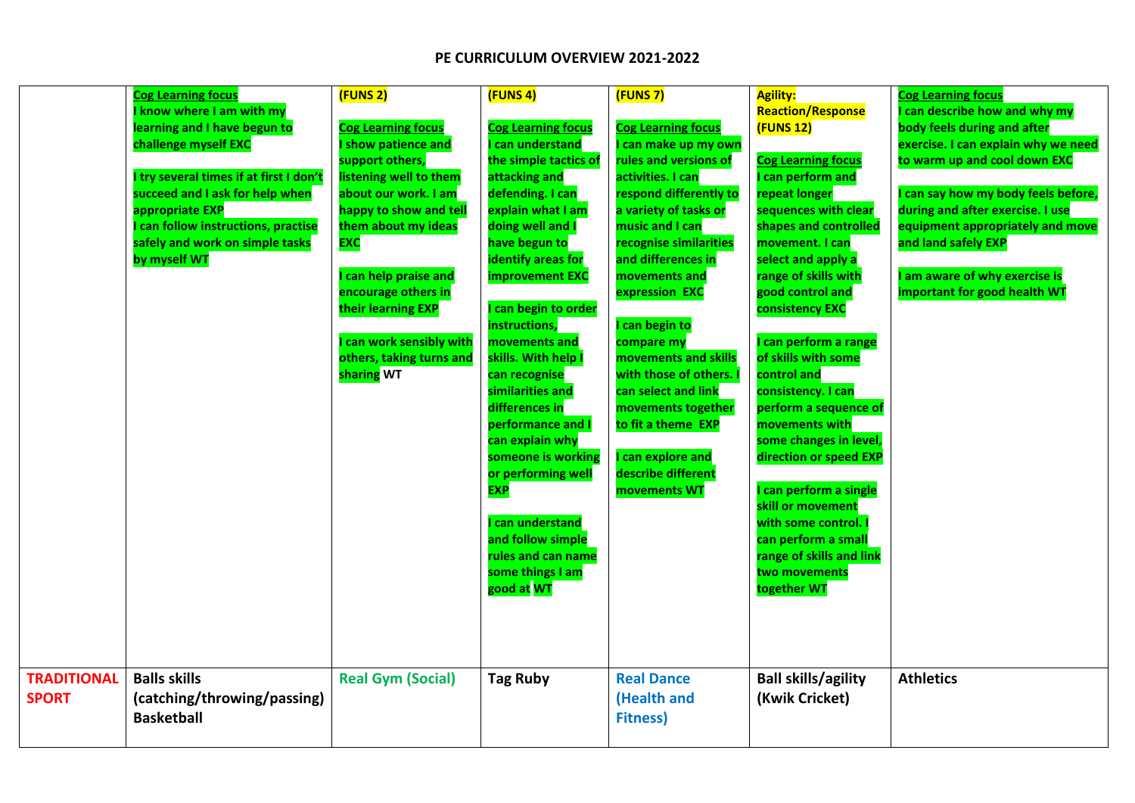| <b>TRADITIONAL</b> | <b>Cog Learning focus</b><br>know where I am with my<br>learning and I have begun to<br>challenge myself EXC<br>try several times if at first I don't<br>succeed and I ask for help when<br>appropriate EXP<br>can follow instructions, practise<br>safely and work on simple tasks<br>by myself WT<br><b>Balls skills</b> | (FUNS 2)<br><b>Cog Learning focus</b><br>show patience and<br>support others,<br>listening well to them<br>about our work. I am<br>happy to show and tell<br>them about my ideas<br><b>EXC</b><br>can help praise and<br>encourage others in<br>their learning EXP<br>can work sensibly with<br>others, taking turns and<br>sharing WT<br><b>Real Gym (Social)</b> | (FUNS 4)<br><b>Cog Learning focus</b><br>can understand<br>the simple tactics of<br>attacking and<br>defending. I can<br>explain what I am<br>doing well and I<br>have begun to<br>identify areas for<br><b>improvement EXC</b><br>can begin to order<br>instructions,<br>movements and<br>skills. With help I<br>can recognise<br>similarities and<br>differences in<br>performance and I<br>can explain why<br>someone is working<br>or performing well<br><b>EXP</b><br>can understand<br>and follow simple<br>rules and can name<br>some things I am<br>good at WT<br><b>Tag Ruby</b> | (FUNS 7)<br><b>Cog Learning focus</b><br>l can make up my own<br>rules and versions of<br>activities. I can<br>respond differently to<br>a variety of tasks or<br>music and I can<br>recognise similarities<br>and differences in<br>movements and<br>expression EXC<br>I can begin to<br>compare my<br>movements and skills<br>with those of others. I<br>can select and link<br>movements together<br>to fit a theme EXP<br><b>I</b> can explore and<br>describe different<br>movements WT<br><b>Real Dance</b> | <b>Agility:</b><br><b>Reaction/Response</b><br><b>(FUNS 12)</b><br><b>Cog Learning focus</b><br>I can perform and<br>repeat longer<br>sequences with clear<br>shapes and controlled<br>movement. I can<br>select and apply a<br>range of skills with<br>good control and<br>consistency EXC<br>I can perform a range<br>of skills with some<br>control and<br>consistency. I can<br>perform a sequence of<br>movements with<br>some changes in level,<br>direction or speed EXP<br>I can perform a single<br>skill or movement<br>with some control. I<br>can perform a small<br>range of skills and link<br>two movements<br>together WT<br><b>Ball skills/agility</b> | <b>Cog Learning focus</b><br>can describe how and why my<br>body feels during and after<br>exercise. I can explain why we need<br>to warm up and cool down EXC<br>I can say how my body feels before,<br>during and after exercise. I use<br>equipment appropriately and move<br>and land safely EXP<br>am aware of why exercise is<br>important for good health WT<br><b>Athletics</b> |
|--------------------|----------------------------------------------------------------------------------------------------------------------------------------------------------------------------------------------------------------------------------------------------------------------------------------------------------------------------|--------------------------------------------------------------------------------------------------------------------------------------------------------------------------------------------------------------------------------------------------------------------------------------------------------------------------------------------------------------------|-------------------------------------------------------------------------------------------------------------------------------------------------------------------------------------------------------------------------------------------------------------------------------------------------------------------------------------------------------------------------------------------------------------------------------------------------------------------------------------------------------------------------------------------------------------------------------------------|-------------------------------------------------------------------------------------------------------------------------------------------------------------------------------------------------------------------------------------------------------------------------------------------------------------------------------------------------------------------------------------------------------------------------------------------------------------------------------------------------------------------|-------------------------------------------------------------------------------------------------------------------------------------------------------------------------------------------------------------------------------------------------------------------------------------------------------------------------------------------------------------------------------------------------------------------------------------------------------------------------------------------------------------------------------------------------------------------------------------------------------------------------------------------------------------------------|-----------------------------------------------------------------------------------------------------------------------------------------------------------------------------------------------------------------------------------------------------------------------------------------------------------------------------------------------------------------------------------------|
| <b>SPORT</b>       | (catching/throwing/passing)<br><b>Basketball</b>                                                                                                                                                                                                                                                                           |                                                                                                                                                                                                                                                                                                                                                                    |                                                                                                                                                                                                                                                                                                                                                                                                                                                                                                                                                                                           | (Health and<br><b>Fitness)</b>                                                                                                                                                                                                                                                                                                                                                                                                                                                                                    | (Kwik Cricket)                                                                                                                                                                                                                                                                                                                                                                                                                                                                                                                                                                                                                                                          |                                                                                                                                                                                                                                                                                                                                                                                         |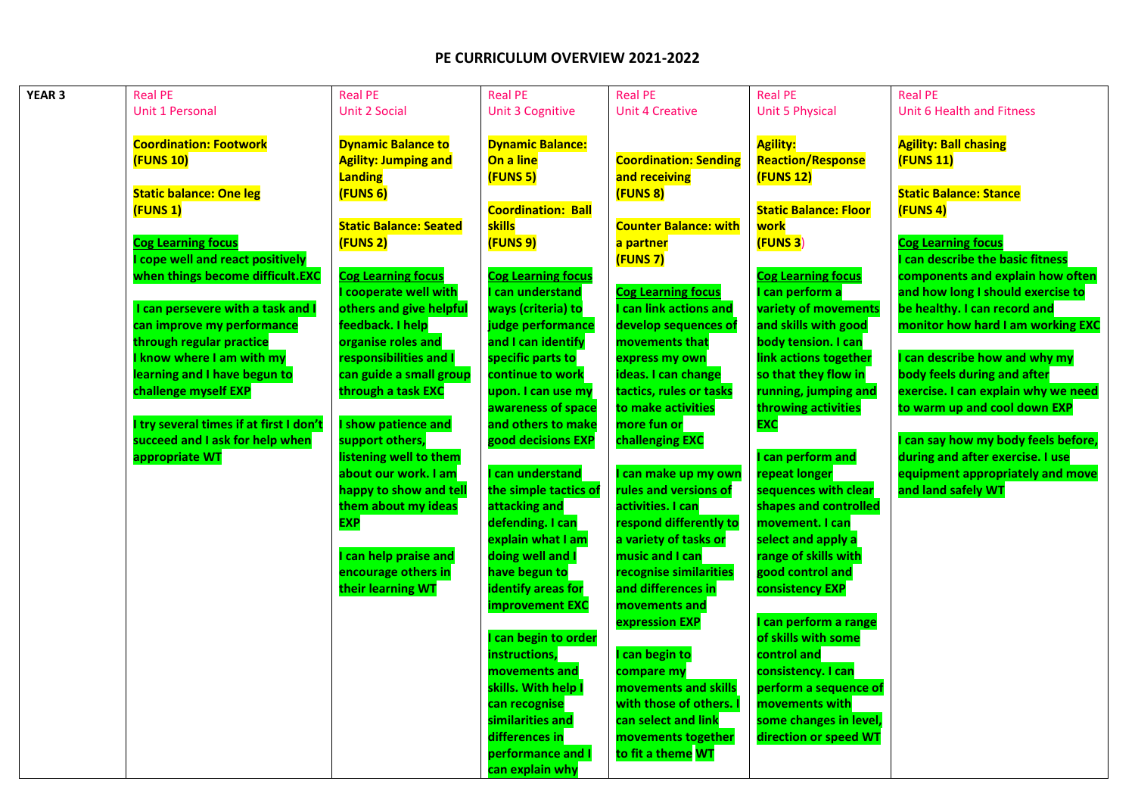| YEAR <sub>3</sub> | <b>Real PE</b>                          | <b>Real PE</b>                | <b>Real PE</b>            | <b>Real PE</b>               | <b>Real PE</b>               | <b>Real PE</b>                      |
|-------------------|-----------------------------------------|-------------------------------|---------------------------|------------------------------|------------------------------|-------------------------------------|
|                   | Unit 1 Personal                         | <b>Unit 2 Social</b>          | <b>Unit 3 Cognitive</b>   | <b>Unit 4 Creative</b>       | <b>Unit 5 Physical</b>       | Unit 6 Health and Fitness           |
|                   |                                         |                               |                           |                              |                              |                                     |
|                   | <b>Coordination: Footwork</b>           | <b>Dynamic Balance to</b>     | <b>Dynamic Balance:</b>   |                              | <b>Agility:</b>              | <b>Agility: Ball chasing</b>        |
|                   | <b>(FUNS 10)</b>                        | <b>Agility: Jumping and</b>   | On a line                 | <b>Coordination: Sending</b> | <b>Reaction/Response</b>     | (FUNS 11)                           |
|                   |                                         | Landing                       | (FUNS 5)                  | and receiving                | <b>(FUNS 12)</b>             |                                     |
|                   | <b>Static balance: One leg</b>          | (FUNS 6)                      |                           | (FUNS 8)                     |                              | <b>Static Balance: Stance</b>       |
|                   | (FUNS 1)                                |                               | <b>Coordination: Ball</b> |                              | <b>Static Balance: Floor</b> | (FUNS 4)                            |
|                   |                                         | <b>Static Balance: Seated</b> | skills                    | <b>Counter Balance: with</b> | work                         |                                     |
|                   | <b>Cog Learning focus</b>               | (FUNS 2)                      | (FUNS 9)                  | a partner                    | (FUNS <sub>3</sub> )         | <b>Cog Learning focus</b>           |
|                   | I cope well and react positively        |                               |                           | (FUNS 7)                     |                              | can describe the basic fitness      |
|                   | when things become difficult.EXC        | <b>Cog Learning focus</b>     | <b>Cog Learning focus</b> |                              | <b>Cog Learning focus</b>    | components and explain how often    |
|                   |                                         | cooperate well with           | can understand            | <b>Cog Learning focus</b>    | can perform a                | and how long I should exercise to   |
|                   | I can persevere with a task and I       | others and give helpful       | ways (criteria) to        | <b>can link actions and</b>  | variety of movements         | be healthy. I can record and        |
|                   | can improve my performance              | feedback. I help              | judge performance         | develop sequences of         | and skills with good         | monitor how hard I am working EXC   |
|                   | through regular practice                | organise roles and            | and I can identify        | movements that               | body tension. I can          |                                     |
|                   | I know where I am with my               | responsibilities and I        | specific parts to         | express my own               | link actions together        | I can describe how and why my       |
|                   | learning and I have begun to            | can guide a small group       | continue to work          | ideas. I can change          | so that they flow in         | body feels during and after         |
|                   | challenge myself EXP                    | through a task EXC            | upon. I can use my        | tactics, rules or tasks      | running, jumping and         | exercise. I can explain why we need |
|                   |                                         |                               | awareness of space        | to make activities           | throwing activities          | to warm up and cool down EXP        |
|                   | I try several times if at first I don't | show patience and             | and others to make        | more fun or                  | EXC                          |                                     |
|                   | succeed and I ask for help when         | support others,               | good decisions EXP        | challenging EXC              |                              | can say how my body feels before,   |
|                   | appropriate WT                          | listening well to them        |                           |                              | can perform and              | during and after exercise. I use    |
|                   |                                         | about our work. I am          | <b>can understand</b>     | can make up my own           | repeat longer                | equipment appropriately and move    |
|                   |                                         | happy to show and tell        | the simple tactics of     | rules and versions of        | sequences with clear         | and land safely WT                  |
|                   |                                         | them about my ideas           | attacking and             | activities. I can            | shapes and controlled        |                                     |
|                   |                                         | <b>EXP</b>                    | defending. I can          | respond differently to       | movement. I can              |                                     |
|                   |                                         |                               | explain what I am         | a variety of tasks or        | select and apply a           |                                     |
|                   |                                         | can help praise and           | doing well and I          | music and I can              | range of skills with         |                                     |
|                   |                                         | encourage others in           | have begun to             | recognise similarities       | good control and             |                                     |
|                   |                                         | their learning WT             | identify areas for        | and differences in           | consistency EXP              |                                     |
|                   |                                         |                               | <b>improvement EXC</b>    | movements and                |                              |                                     |
|                   |                                         |                               |                           | expression EXP               | can perform a range          |                                     |
|                   |                                         |                               | can begin to order        |                              | of skills with some          |                                     |
|                   |                                         |                               | instructions,             | can begin to                 | control and                  |                                     |
|                   |                                         |                               | movements and             | compare my                   | consistency. I can           |                                     |
|                   |                                         |                               | skills. With help I       | movements and skills         | perform a sequence of        |                                     |
|                   |                                         |                               | can recognise             | with those of others.        | movements with               |                                     |
|                   |                                         |                               | similarities and          | can select and link          | some changes in level,       |                                     |
|                   |                                         |                               | differences in            | movements together           | direction or speed WT        |                                     |
|                   |                                         |                               | performance and I         | to fit a theme WT            |                              |                                     |
|                   |                                         |                               | can explain why           |                              |                              |                                     |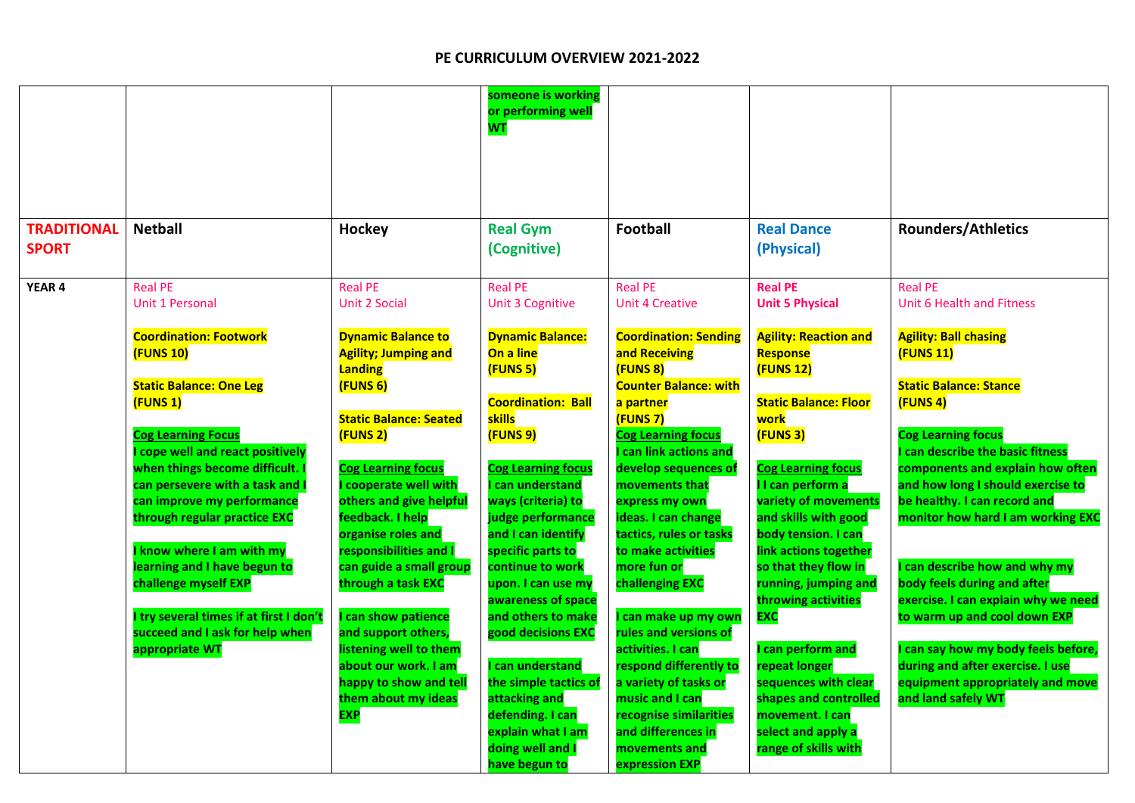|                                    |                                                                                                                                                                                                                                                                                                                                                                                                                                                                                          |                                                                                                                                                                                                                                                                                                                                                                                                                                                                                                   | someone is working<br>or performing well<br><b>WT</b>                                                                                                                                                                                                                                                                                                                                                                                                                                          |                                                                                                                                                                                                                                                                                                                                                                                                                                                                                                                                                                            |                                                                                                                                                                                                                                                                                                                                                                                                                                                                                                                 |                                                                                                                                                                                                                                                                                                                                                                                                                                                                                                                                                                               |
|------------------------------------|------------------------------------------------------------------------------------------------------------------------------------------------------------------------------------------------------------------------------------------------------------------------------------------------------------------------------------------------------------------------------------------------------------------------------------------------------------------------------------------|---------------------------------------------------------------------------------------------------------------------------------------------------------------------------------------------------------------------------------------------------------------------------------------------------------------------------------------------------------------------------------------------------------------------------------------------------------------------------------------------------|------------------------------------------------------------------------------------------------------------------------------------------------------------------------------------------------------------------------------------------------------------------------------------------------------------------------------------------------------------------------------------------------------------------------------------------------------------------------------------------------|----------------------------------------------------------------------------------------------------------------------------------------------------------------------------------------------------------------------------------------------------------------------------------------------------------------------------------------------------------------------------------------------------------------------------------------------------------------------------------------------------------------------------------------------------------------------------|-----------------------------------------------------------------------------------------------------------------------------------------------------------------------------------------------------------------------------------------------------------------------------------------------------------------------------------------------------------------------------------------------------------------------------------------------------------------------------------------------------------------|-------------------------------------------------------------------------------------------------------------------------------------------------------------------------------------------------------------------------------------------------------------------------------------------------------------------------------------------------------------------------------------------------------------------------------------------------------------------------------------------------------------------------------------------------------------------------------|
| <b>TRADITIONAL</b><br><b>SPORT</b> | <b>Netball</b>                                                                                                                                                                                                                                                                                                                                                                                                                                                                           | Hockey                                                                                                                                                                                                                                                                                                                                                                                                                                                                                            | <b>Real Gym</b><br>(Cognitive)                                                                                                                                                                                                                                                                                                                                                                                                                                                                 | <b>Football</b>                                                                                                                                                                                                                                                                                                                                                                                                                                                                                                                                                            | <b>Real Dance</b><br>(Physical)                                                                                                                                                                                                                                                                                                                                                                                                                                                                                 | <b>Rounders/Athletics</b>                                                                                                                                                                                                                                                                                                                                                                                                                                                                                                                                                     |
| <b>YEAR4</b>                       | <b>Real PE</b><br><b>Unit 1 Personal</b>                                                                                                                                                                                                                                                                                                                                                                                                                                                 | <b>Real PE</b><br><b>Unit 2 Social</b>                                                                                                                                                                                                                                                                                                                                                                                                                                                            | <b>Real PE</b><br><b>Unit 3 Cognitive</b>                                                                                                                                                                                                                                                                                                                                                                                                                                                      | <b>Real PE</b><br><b>Unit 4 Creative</b>                                                                                                                                                                                                                                                                                                                                                                                                                                                                                                                                   | <b>Real PE</b><br><b>Unit 5 Physical</b>                                                                                                                                                                                                                                                                                                                                                                                                                                                                        | <b>Real PE</b><br>Unit 6 Health and Fitness                                                                                                                                                                                                                                                                                                                                                                                                                                                                                                                                   |
|                                    | <b>Coordination: Footwork</b><br><b>(FUNS 10)</b><br><b>Static Balance: One Leg</b><br>(FUNS 1)<br><b>Cog Learning Focus</b><br>cope well and react positively<br>when things become difficult.<br>can persevere with a task and<br>can improve my performance<br>through regular practice EXC<br><b>know where I am with my</b><br>learning and I have begun to<br>challenge myself EXP<br>I try several times if at first I don't<br>succeed and I ask for help when<br>appropriate WT | <b>Dynamic Balance to</b><br><b>Agility; Jumping and</b><br>Landing<br>(FUNS 6)<br><b>Static Balance: Seated</b><br>(FUNS 2)<br><b>Cog Learning focus</b><br>I cooperate well with<br>others and give helpful<br>feedback. I help<br>organise roles and<br>responsibilities and I<br>can guide a small group<br>through a task EXC<br>I can show patience<br>and support others,<br>listening well to them<br>about our work. I am<br>happy to show and tell<br>them about my ideas<br><b>EXP</b> | <b>Dynamic Balance:</b><br>On a line<br>(FUNS 5)<br><b>Coordination: Ball</b><br>skills<br>(FUNS 9)<br><b>Cog Learning focus</b><br>can understand<br>ways (criteria) to<br>judge performance<br>and I can identify<br>specific parts to<br>continue to work<br>upon. I can use my<br>awareness of space<br>and others to make<br>good decisions EXC<br>can understand<br>the simple tactics of<br>attacking and<br>defending. I can<br>explain what I am<br>doing well and I<br>have begun to | <b>Coordination: Sending</b><br>and Receiving<br>(FUNS 8)<br><b>Counter Balance: with</b><br>a partner<br>(FUNS 7)<br><b>Cog Learning focus</b><br>can link actions and<br>develop sequences of<br>movements that<br>express my own<br>ideas. I can change<br>tactics, rules or tasks<br>to make activities<br>more fun or<br>challenging EXC<br>can make up my own<br>rules and versions of<br>activities. I can<br>respond differently to<br>a variety of tasks or<br>music and I can<br>recognise similarities<br>and differences in<br>movements and<br>expression EXP | <b>Agility: Reaction and</b><br>Response<br><b>(FUNS 12)</b><br><b>Static Balance: Floor</b><br>work<br>(FUNS 3)<br><b>Cog Learning focus</b><br>I I can perform a<br>variety of movements<br>and skills with good<br>body tension. I can<br>link actions together<br>so that they flow in<br>running, jumping and<br>throwing activities<br><b>EXC</b><br>I can perform and<br>repeat longer<br>sequences with clear<br>shapes and controlled<br>movement. I can<br>select and apply a<br>range of skills with | <b>Agility: Ball chasing</b><br>(FUNS 11)<br><b>Static Balance: Stance</b><br>(FUNS 4)<br><b>Cog Learning focus</b><br>can describe the basic fitness<br>components and explain how often<br>and how long I should exercise to<br>be healthy. I can record and<br>monitor how hard I am working EXC<br>I can describe how and why my<br>body feels during and after<br>exercise. I can explain why we need<br>to warm up and cool down EXP<br>can say how my body feels before,<br>during and after exercise. I use<br>equipment appropriately and move<br>and land safely WT |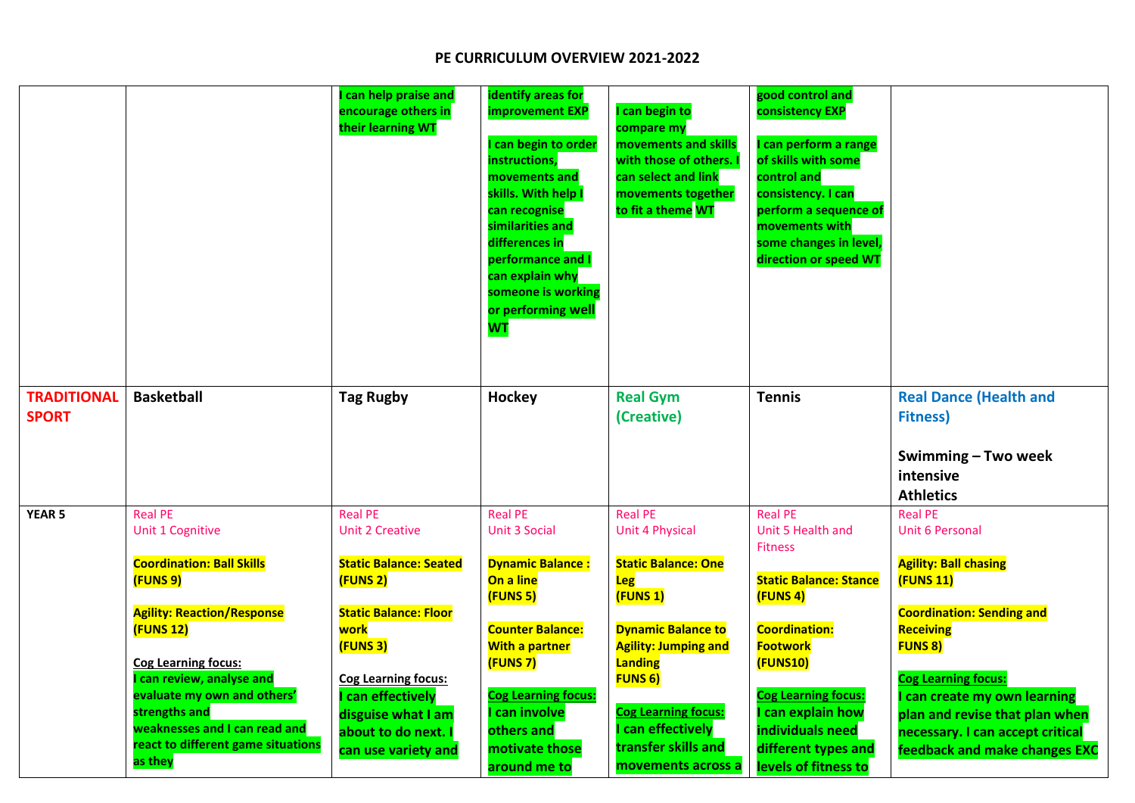|                    |                                                | can help praise and<br>encourage others in<br>their learning WT | identify areas for<br>improvement EXP<br>can begin to order<br>instructions,<br>movements and<br>skills. With help I<br>can recognise<br>similarities and<br>differences in<br>performance and I<br>can explain why<br>someone is working<br>or performing well<br><b>WT</b> | I can begin to<br>compare my<br>movements and skills<br>with those of others. I<br>can select and link<br>movements together<br>to fit a theme WT | good control and<br>consistency EXP<br>can perform a range<br>of skills with some<br>control and<br>consistency. I can<br>perform a sequence of<br>movements with<br>some changes in level,<br>direction or speed WT |                                                                   |
|--------------------|------------------------------------------------|-----------------------------------------------------------------|------------------------------------------------------------------------------------------------------------------------------------------------------------------------------------------------------------------------------------------------------------------------------|---------------------------------------------------------------------------------------------------------------------------------------------------|----------------------------------------------------------------------------------------------------------------------------------------------------------------------------------------------------------------------|-------------------------------------------------------------------|
| <b>TRADITIONAL</b> | <b>Basketball</b>                              | <b>Tag Rugby</b>                                                | Hockey                                                                                                                                                                                                                                                                       | <b>Real Gym</b>                                                                                                                                   | <b>Tennis</b>                                                                                                                                                                                                        | <b>Real Dance (Health and</b>                                     |
| <b>SPORT</b>       |                                                |                                                                 |                                                                                                                                                                                                                                                                              | (Creative)                                                                                                                                        |                                                                                                                                                                                                                      | <b>Fitness)</b>                                                   |
|                    |                                                |                                                                 |                                                                                                                                                                                                                                                                              |                                                                                                                                                   |                                                                                                                                                                                                                      | Swimming - Two week<br>intensive<br><b>Athletics</b>              |
| <b>YEAR 5</b>      | <b>Real PE</b>                                 | <b>Real PE</b>                                                  | <b>Real PE</b>                                                                                                                                                                                                                                                               | <b>Real PE</b>                                                                                                                                    | <b>Real PE</b>                                                                                                                                                                                                       | <b>Real PE</b>                                                    |
|                    | Unit 1 Cognitive                               | <b>Unit 2 Creative</b>                                          | <b>Unit 3 Social</b>                                                                                                                                                                                                                                                         | <b>Unit 4 Physical</b>                                                                                                                            | Unit 5 Health and<br><b>Fitness</b>                                                                                                                                                                                  | <b>Unit 6 Personal</b>                                            |
|                    | <b>Coordination: Ball Skills</b>               | <b>Static Balance: Seated</b>                                   | <b>Dynamic Balance:</b>                                                                                                                                                                                                                                                      | <b>Static Balance: One</b>                                                                                                                        |                                                                                                                                                                                                                      | <b>Agility: Ball chasing</b>                                      |
|                    | (FUNS 9)                                       | (FUNS 2)                                                        | On a line<br>(FUNS 5)                                                                                                                                                                                                                                                        | Leg<br>(FUNS 1)                                                                                                                                   | <b>Static Balance: Stance</b><br>(FUNS 4)                                                                                                                                                                            | <b>(FUNS 11)</b>                                                  |
|                    | <b>Agility: Reaction/Response</b>              | <b>Static Balance: Floor</b>                                    |                                                                                                                                                                                                                                                                              |                                                                                                                                                   |                                                                                                                                                                                                                      | <b>Coordination: Sending and</b>                                  |
|                    | (FUNS 12)                                      | work                                                            | <b>Counter Balance:</b>                                                                                                                                                                                                                                                      | <b>Dynamic Balance to</b>                                                                                                                         | <b>Coordination:</b>                                                                                                                                                                                                 | <b>Receiving</b>                                                  |
|                    | <b>Cog Learning focus:</b>                     | (FUNS 3)                                                        | <b>With a partner</b><br>(FUNS 7)                                                                                                                                                                                                                                            | <b>Agility: Jumping and</b><br>Landing                                                                                                            | <b>Footwork</b><br>(FUNS10)                                                                                                                                                                                          | <b>FUNS 8)</b>                                                    |
|                    | I can review, analyse and                      | <b>Cog Learning focus:</b>                                      |                                                                                                                                                                                                                                                                              | <b>FUNS 6)</b>                                                                                                                                    |                                                                                                                                                                                                                      | <b>Cog Learning focus:</b>                                        |
|                    | evaluate my own and others'                    | I can effectively                                               | <b>Cog Learning focus:</b>                                                                                                                                                                                                                                                   |                                                                                                                                                   | <b>Cog Learning focus:</b>                                                                                                                                                                                           | I can create my own learning                                      |
|                    | strengths and<br>weaknesses and I can read and | disguise what I am<br>about to do next.                         | can involve<br>others and                                                                                                                                                                                                                                                    | <b>Cog Learning focus:</b><br><b>can effectively</b>                                                                                              | can explain how<br>individuals need                                                                                                                                                                                  | plan and revise that plan when                                    |
|                    | react to different game situations             | can use variety and                                             | motivate those                                                                                                                                                                                                                                                               | transfer skills and                                                                                                                               | different types and                                                                                                                                                                                                  | necessary. I can accept critical<br>feedback and make changes EXC |
|                    | as they                                        |                                                                 | around me to                                                                                                                                                                                                                                                                 | movements across a                                                                                                                                | levels of fitness to                                                                                                                                                                                                 |                                                                   |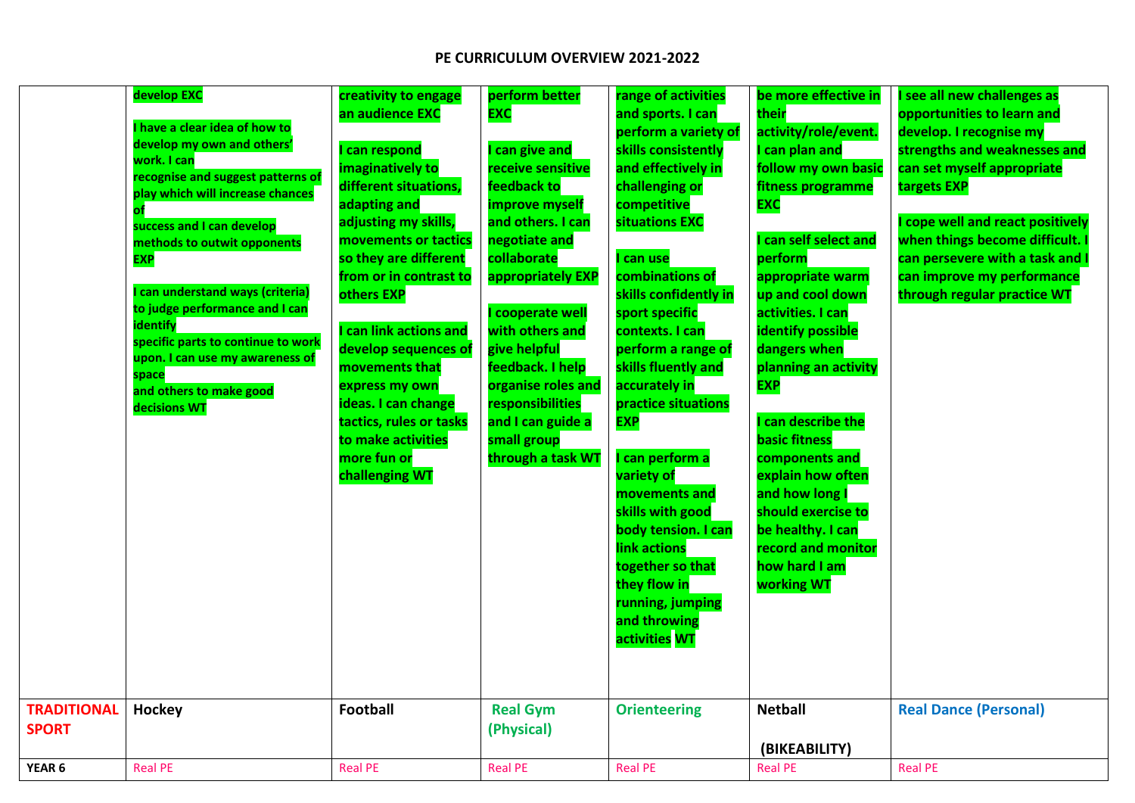|                                    | develop EXC<br>have a clear idea of how to<br>develop my own and others'<br>work. I can<br>recognise and suggest patterns of<br>play which will increase chances<br>success and I can develop<br>methods to outwit opponents<br><b>EXP</b><br>can understand ways (criteria)<br>to judge performance and I can<br>identify<br>specific parts to continue to work<br>upon. I can use my awareness of<br>space<br>and others to make good<br>decisions WT | creativity to engage<br>an audience EXC<br>can respond<br>imaginatively to<br>different situations,<br>adapting and<br>adjusting my skills,<br>movements or tactics<br>so they are different<br>from or in contrast to<br>others EXP<br>can link actions and<br>develop sequences of<br>movements that<br>express my own<br>ideas. I can change<br>tactics, rules or tasks<br>to make activities<br>more fun or<br>challenging WT | perform better<br><b>EXC</b><br>can give and<br>receive sensitive<br>feedback to<br>improve myself<br>and others. I can<br>negotiate and<br>collaborate<br>appropriately EXP<br>cooperate well<br>with others and<br>give helpful<br>feedback. I help<br>organise roles and<br>responsibilities<br>and I can guide a<br>small group<br>through a task WT | range of activities<br>and sports. I can<br>perform a variety of<br>skills consistently<br>and effectively in<br>challenging or<br>competitive<br>situations EXC<br>can use<br>combinations of<br>skills confidently in<br>sport specific<br>contexts. I can<br>perform a range of<br>skills fluently and<br>accurately in<br>practice situations<br><b>EXP</b><br>can perform a<br>variety of<br>movements and<br>skills with good<br>body tension. I can<br>link actions<br>together so that<br>they flow in<br>running, jumping<br>and throwing<br>activities WT | be more effective in<br>their<br>activity/role/event.<br>I can plan and<br>follow my own basic<br>fitness programme<br><b>EXC</b><br>can self select and<br>perform<br>appropriate warm<br>up and cool down<br>activities. I can<br><b>identify possible</b><br>dangers when<br>planning an activity<br><b>EXP</b><br>can describe the<br><b>basic fitness</b><br>components and<br>explain how often<br>and how long I<br>should exercise to<br>be healthy. I can<br>record and monitor<br>how hard I am<br>working WT | see all new challenges as<br>opportunities to learn and<br>develop. I recognise my<br>strengths and weaknesses and<br>can set myself appropriate<br>targets EXP<br>cope well and react positively<br>when things become difficult. I<br>can persevere with a task and I<br>can improve my performance<br>through regular practice WT |
|------------------------------------|---------------------------------------------------------------------------------------------------------------------------------------------------------------------------------------------------------------------------------------------------------------------------------------------------------------------------------------------------------------------------------------------------------------------------------------------------------|-----------------------------------------------------------------------------------------------------------------------------------------------------------------------------------------------------------------------------------------------------------------------------------------------------------------------------------------------------------------------------------------------------------------------------------|----------------------------------------------------------------------------------------------------------------------------------------------------------------------------------------------------------------------------------------------------------------------------------------------------------------------------------------------------------|---------------------------------------------------------------------------------------------------------------------------------------------------------------------------------------------------------------------------------------------------------------------------------------------------------------------------------------------------------------------------------------------------------------------------------------------------------------------------------------------------------------------------------------------------------------------|-------------------------------------------------------------------------------------------------------------------------------------------------------------------------------------------------------------------------------------------------------------------------------------------------------------------------------------------------------------------------------------------------------------------------------------------------------------------------------------------------------------------------|--------------------------------------------------------------------------------------------------------------------------------------------------------------------------------------------------------------------------------------------------------------------------------------------------------------------------------------|
| <b>TRADITIONAL</b><br><b>SPORT</b> | Hockey                                                                                                                                                                                                                                                                                                                                                                                                                                                  | <b>Football</b>                                                                                                                                                                                                                                                                                                                                                                                                                   | <b>Real Gym</b><br>(Physical)                                                                                                                                                                                                                                                                                                                            | <b>Orienteering</b>                                                                                                                                                                                                                                                                                                                                                                                                                                                                                                                                                 | <b>Netball</b>                                                                                                                                                                                                                                                                                                                                                                                                                                                                                                          | <b>Real Dance (Personal)</b>                                                                                                                                                                                                                                                                                                         |
|                                    |                                                                                                                                                                                                                                                                                                                                                                                                                                                         |                                                                                                                                                                                                                                                                                                                                                                                                                                   |                                                                                                                                                                                                                                                                                                                                                          |                                                                                                                                                                                                                                                                                                                                                                                                                                                                                                                                                                     | (BIKEABILITY)                                                                                                                                                                                                                                                                                                                                                                                                                                                                                                           |                                                                                                                                                                                                                                                                                                                                      |
| YEAR <sub>6</sub>                  | <b>Real PE</b>                                                                                                                                                                                                                                                                                                                                                                                                                                          | <b>Real PE</b>                                                                                                                                                                                                                                                                                                                                                                                                                    | <b>Real PE</b>                                                                                                                                                                                                                                                                                                                                           | <b>Real PE</b>                                                                                                                                                                                                                                                                                                                                                                                                                                                                                                                                                      | <b>Real PE</b>                                                                                                                                                                                                                                                                                                                                                                                                                                                                                                          | <b>Real PE</b>                                                                                                                                                                                                                                                                                                                       |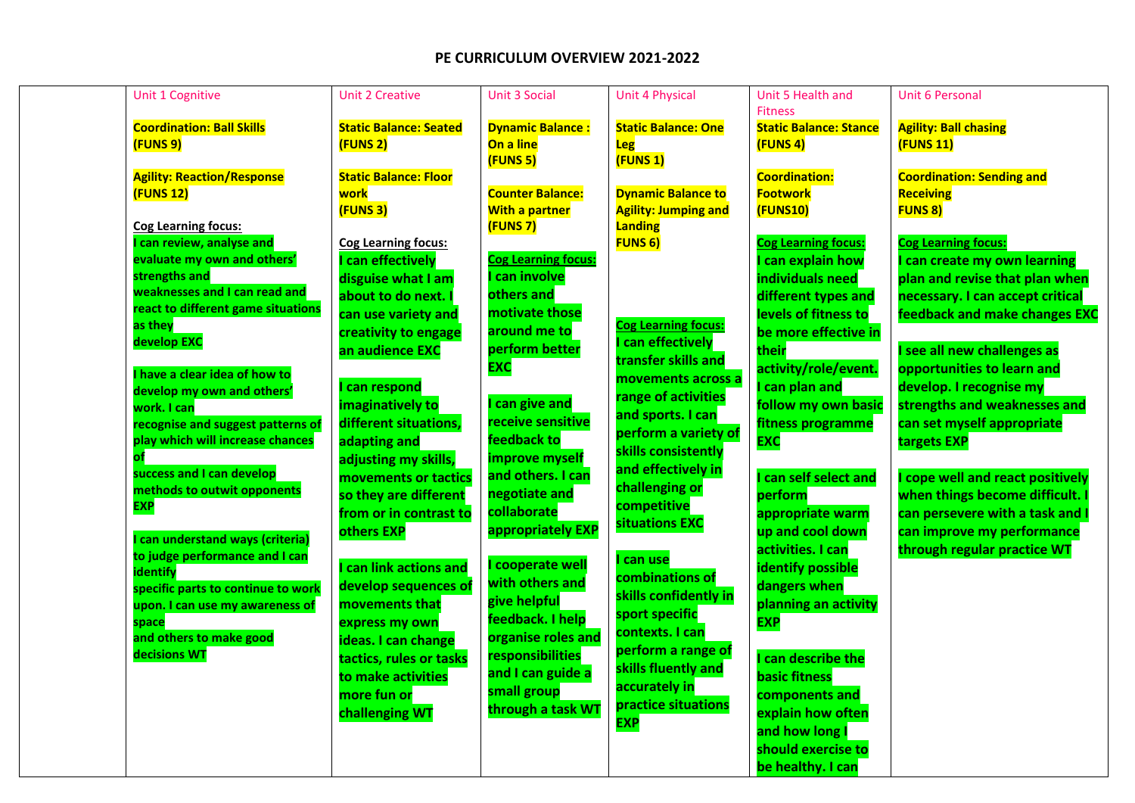| Unit 1 Cognitive                                                      | <b>Unit 2 Creative</b>        | <b>Unit 3 Social</b>                             | <b>Unit 4 Physical</b>                                   | Unit 5 Health and             | <b>Unit 6 Personal</b>             |
|-----------------------------------------------------------------------|-------------------------------|--------------------------------------------------|----------------------------------------------------------|-------------------------------|------------------------------------|
|                                                                       |                               |                                                  |                                                          | <b>Fitness</b>                |                                    |
| <b>Coordination: Ball Skills</b>                                      | <b>Static Balance: Seated</b> | <b>Dynamic Balance:</b>                          | <b>Static Balance: One</b>                               | <b>Static Balance: Stance</b> | <b>Agility: Ball chasing</b>       |
| (FUNS 9)                                                              | (FUNS 2)                      | On a line                                        | Leg                                                      | (FUNS 4)                      | $($ FUNS 11 $)$                    |
|                                                                       |                               | (FUNS 5)                                         | (FUNS 1)                                                 |                               |                                    |
| <b>Agility: Reaction/Response</b>                                     | <b>Static Balance: Floor</b>  |                                                  |                                                          | <b>Coordination:</b>          | <b>Coordination: Sending and</b>   |
| (FUNS 12)                                                             | work<br>(FUNS 3)              | <b>Counter Balance:</b><br><b>With a partner</b> | <b>Dynamic Balance to</b><br><b>Agility: Jumping and</b> | <b>Footwork</b><br>(FUNS10)   | <b>Receiving</b><br><b>FUNS 8)</b> |
| <b>Cog Learning focus:</b>                                            |                               | (FUNS 7)                                         | Landing                                                  |                               |                                    |
| can review, analyse and                                               | <b>Cog Learning focus:</b>    |                                                  | <b>FUNS 6)</b>                                           | <b>Cog Learning focus:</b>    | <b>Cog Learning focus:</b>         |
| evaluate my own and others'                                           | can effectively               | <b>Cog Learning focus:</b>                       |                                                          | can explain how               | can create my own learning         |
| strengths and                                                         | disguise what I am            | can involve                                      |                                                          | individuals need              | plan and revise that plan when     |
| weaknesses and I can read and                                         | about to do next.             | others and                                       |                                                          | different types and           | necessary. I can accept critical   |
| react to different game situations                                    | can use variety and           | motivate those                                   |                                                          | levels of fitness to          | feedback and make changes EXC      |
| as they                                                               | creativity to engage          | around me to                                     | <b>Cog Learning focus:</b>                               | be more effective in          |                                    |
| develop EXC                                                           | an audience EXC               | perform better                                   | can effectively                                          | their                         | I see all new challenges as        |
|                                                                       |                               | <b>EXC</b>                                       | transfer skills and                                      | activity/role/event.          | opportunities to learn and         |
| I have a clear idea of how to                                         | can respond                   |                                                  | movements across a                                       | can plan and                  | develop. I recognise my            |
| develop my own and others'                                            | imaginatively to              | can give and                                     | range of activities                                      | follow my own basic           | strengths and weaknesses and       |
| work. I can                                                           | different situations,         | receive sensitive                                | and sports. I can                                        |                               | can set myself appropriate         |
| recognise and suggest patterns of<br>play which will increase chances |                               | feedback to                                      | perform a variety of                                     | fitness programme             |                                    |
| оf                                                                    | adapting and                  | improve myself                                   | skills consistently                                      | <b>EXC</b>                    | targets EXP                        |
| success and I can develop                                             | adjusting my skills,          | and others. I can                                | and effectively in                                       |                               |                                    |
| methods to outwit opponents                                           | movements or tactics          | negotiate and                                    | challenging or                                           | can self select and           | cope well and react positively     |
| <b>EXP</b>                                                            | so they are different         | collaborate                                      | competitive                                              | perform                       | when things become difficult.      |
|                                                                       | from or in contrast to        | appropriately EXP                                | situations EXC                                           | appropriate warm              | can persevere with a task and I    |
| can understand ways (criteria)                                        | others EXP                    |                                                  |                                                          | up and cool down              | can improve my performance         |
| to judge performance and I can                                        |                               | cooperate well                                   | can use                                                  | activities. I can             | through regular practice WT        |
| identify                                                              | can link actions and          | with others and                                  | combinations of                                          | <b>identify possible</b>      |                                    |
| specific parts to continue to work                                    | develop sequences of          | give helpful                                     | skills confidently in                                    | dangers when                  |                                    |
| upon. I can use my awareness of                                       | movements that                | feedback. I help                                 | sport specific                                           | planning an activity          |                                    |
| space                                                                 | express my own                | organise roles and                               | contexts. I can                                          | <b>EXP</b>                    |                                    |
| and others to make good<br>decisions WT                               | ideas. I can change           |                                                  | perform a range of                                       |                               |                                    |
|                                                                       | tactics, rules or tasks       | responsibilities<br>and I can guide a            | skills fluently and                                      | can describe the              |                                    |
|                                                                       | to make activities            |                                                  | accurately in                                            | <b>basic fitness</b>          |                                    |
|                                                                       | more fun or                   | small group                                      | practice situations                                      | components and                |                                    |
|                                                                       | challenging WT                | through a task WT                                | <b>EXP</b>                                               | explain how often             |                                    |
|                                                                       |                               |                                                  |                                                          | and how long I                |                                    |
|                                                                       |                               |                                                  |                                                          | should exercise to            |                                    |
|                                                                       |                               |                                                  |                                                          | be healthy. I can             |                                    |